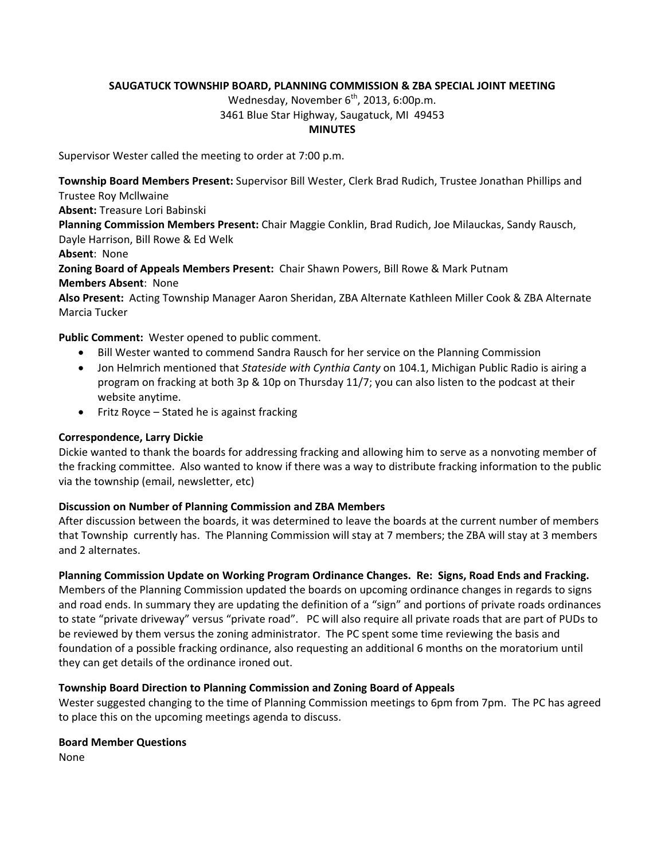### **SAUGATUCK TOWNSHIP BOARD, PLANNING COMMISSION & ZBA SPECIAL JOINT MEETING**

Wednesday, November  $6<sup>th</sup>$ , 2013, 6:00p.m.

### 3461 Blue Star Highway, Saugatuck, MI 49453

#### **MINUTES**

Supervisor Wester called the meeting to order at 7:00 p.m.

**Township Board Members Present:** Supervisor Bill Wester, Clerk Brad Rudich, Trustee Jonathan Phillips and Trustee Roy Mcllwaine

**Absent:** Treasure Lori Babinski

**Planning Commission Members Present:** Chair Maggie Conklin, Brad Rudich, Joe Milauckas, Sandy Rausch, Dayle Harrison, Bill Rowe & Ed Welk

**Absent**: None

**Zoning Board of Appeals Members Present:** Chair Shawn Powers, Bill Rowe & Mark Putnam **Members Absent**: None

**Also Present:** Acting Township Manager Aaron Sheridan, ZBA Alternate Kathleen Miller Cook & ZBA Alternate Marcia Tucker

**Public Comment:** Wester opened to public comment.

- Bill Wester wanted to commend Sandra Rausch for her service on the Planning Commission
- Jon Helmrich mentioned that *Stateside with Cynthia Canty* on 104.1, Michigan Public Radio is airing a program on fracking at both 3p & 10p on Thursday 11/7; you can also listen to the podcast at their website anytime.
- Fritz Royce Stated he is against fracking

### **Correspondence, Larry Dickie**

Dickie wanted to thank the boards for addressing fracking and allowing him to serve as a nonvoting member of the fracking committee. Also wanted to know if there was a way to distribute fracking information to the public via the township (email, newsletter, etc)

### **Discussion on Number of Planning Commission and ZBA Members**

After discussion between the boards, it was determined to leave the boards at the current number of members that Township currently has. The Planning Commission will stay at 7 members; the ZBA will stay at 3 members and 2 alternates.

# **Planning Commission Update on Working Program Ordinance Changes. Re: Signs, Road Ends and Fracking.**

Members of the Planning Commission updated the boards on upcoming ordinance changes in regards to signs and road ends. In summary they are updating the definition of a "sign" and portions of private roads ordinances to state "private driveway" versus "private road". PC will also require all private roads that are part of PUDs to be reviewed by them versus the zoning administrator. The PC spent some time reviewing the basis and foundation of a possible fracking ordinance, also requesting an additional 6 months on the moratorium until they can get details of the ordinance ironed out.

### **Township Board Direction to Planning Commission and Zoning Board of Appeals**

Wester suggested changing to the time of Planning Commission meetings to 6pm from 7pm. The PC has agreed to place this on the upcoming meetings agenda to discuss.

### **Board Member Questions**

None